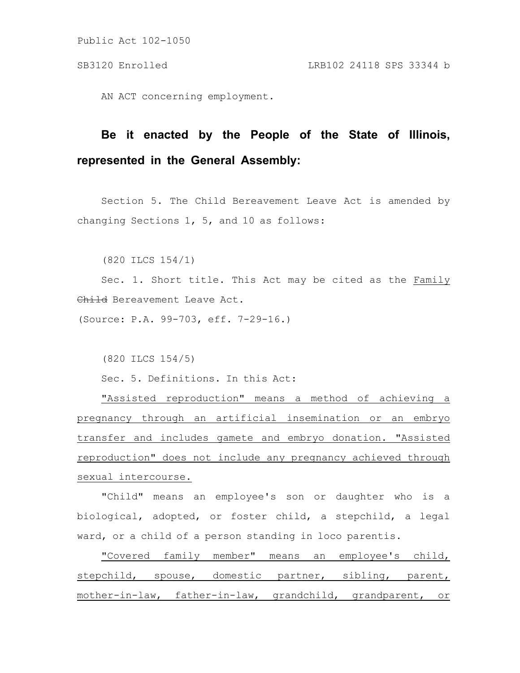Public Act 102-1050

AN ACT concerning employment.

## **Be it enacted by the People of the State of Illinois, represented in the General Assembly:**

Section 5. The Child Bereavement Leave Act is amended by changing Sections 1, 5, and 10 as follows:

(820 ILCS 154/1)

Sec. 1. Short title. This Act may be cited as the Family Child Bereavement Leave Act.

(Source: P.A. 99-703, eff. 7-29-16.)

(820 ILCS 154/5)

Sec. 5. Definitions. In this Act:

"Assisted reproduction" means a method of achieving a pregnancy through an artificial insemination or an embryo transfer and includes gamete and embryo donation. "Assisted reproduction" does not include any pregnancy achieved through sexual intercourse.

"Child" means an employee's son or daughter who is a biological, adopted, or foster child, a stepchild, a legal ward, or a child of a person standing in loco parentis.

"Covered family member" means an employee's child, stepchild, spouse, domestic partner, sibling, parent, mother-in-law, father-in-law, grandchild, grandparent, or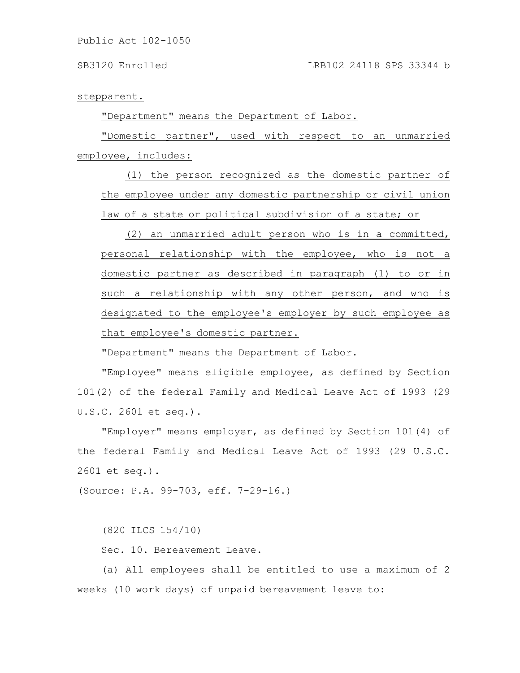Public Act 102-1050

stepparent.

"Department" means the Department of Labor.

"Domestic partner", used with respect to an unmarried employee, includes:

(1) the person recognized as the domestic partner of the employee under any domestic partnership or civil union law of a state or political subdivision of a state; or

(2) an unmarried adult person who is in a committed, personal relationship with the employee, who is not a domestic partner as described in paragraph (1) to or in such a relationship with any other person, and who is designated to the employee's employer by such employee as that employee's domestic partner.

"Department" means the Department of Labor.

"Employee" means eligible employee, as defined by Section 101(2) of the federal Family and Medical Leave Act of 1993 (29 U.S.C. 2601 et seq.).

"Employer" means employer, as defined by Section 101(4) of the federal Family and Medical Leave Act of 1993 (29 U.S.C. 2601 et seq.).

(Source: P.A. 99-703, eff. 7-29-16.)

(820 ILCS 154/10)

Sec. 10. Bereavement Leave.

(a) All employees shall be entitled to use a maximum of 2 weeks (10 work days) of unpaid bereavement leave to: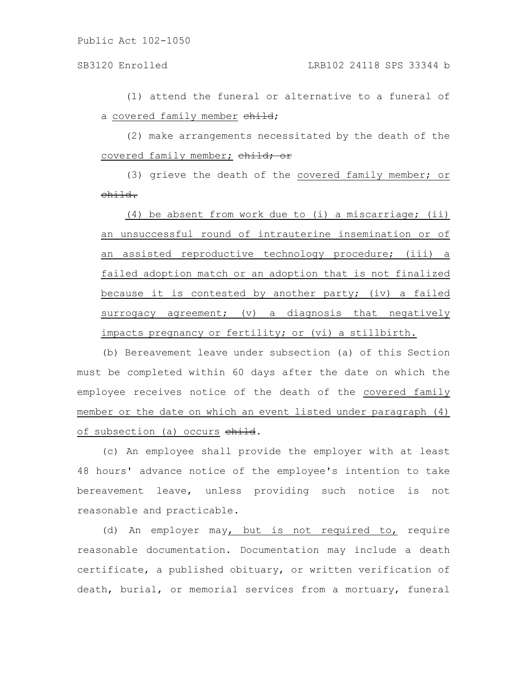(1) attend the funeral or alternative to a funeral of a covered family member child;

(2) make arrangements necessitated by the death of the covered family member; child; or

(3) grieve the death of the covered family member; or child.

(4) be absent from work due to (i) a miscarriage; (ii) an unsuccessful round of intrauterine insemination or of an assisted reproductive technology procedure; (iii) a failed adoption match or an adoption that is not finalized because it is contested by another party; (iv) a failed surrogacy agreement; (v) a diagnosis that negatively impacts pregnancy or fertility; or (vi) a stillbirth.

(b) Bereavement leave under subsection (a) of this Section must be completed within 60 days after the date on which the employee receives notice of the death of the covered family member or the date on which an event listed under paragraph (4) of subsection (a) occurs child.

(c) An employee shall provide the employer with at least 48 hours' advance notice of the employee's intention to take bereavement leave, unless providing such notice is not reasonable and practicable.

(d) An employer may, but is not required to, require reasonable documentation. Documentation may include a death certificate, a published obituary, or written verification of death, burial, or memorial services from a mortuary, funeral